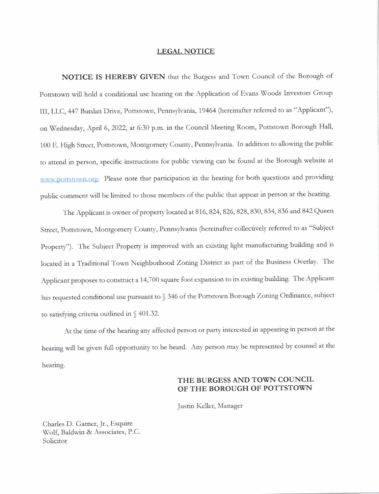#### LEGAL NOTICE

NOTICE IS HEREBY GIVEN that the Burgess and Town Council of the Borough of Pottstown will hold a conditional use hearing on the Application of Evans Woods Investors Group III, LLC, 447 Burdan Drive, Pottstown, Pennsylvania, 19464 (hereinafter referred to as "Applicant"), on Wednesday, April 6, 2022, at 6:30 p.m. in the Council Meeting Room, Pottstown Borough Hall, 100 E. High Street, Pottstown, Montgomery County, Pennsylvania. In addition to allowing the public to attend in person, specific instructions for public viewing can be found at the Borough website at \\ \\'\\.p( )trsr{ )\\ r't.()1-g. Please note that panicipation in the hearing for both questions and providing public comment will be limited to those members of the public that appear in person at the hearing.

The Applicant is owner of property located at 816, 824, 826, 828, 830, 834, 836 and 842 Queen Street, Pottstown, Montgomery County, Pennsylvania (hereinafter collectively referred to as "Subject Property"). The Subject Property is improved with an existing light manufacturing building and is located in a Traditional Town Neighborhood Zoning District as part of the Business Overlay. The Applicant proposes to construct a 14,700 square foot expansion to its existing building. The Applicant has requested conditional use pursuant to § 346 of the Pottstown Borough Zoning Ordinance, subject to satisfying criteria outlined in  $\S$  401.32.

At the time of the hearing any affected person or party interested in appearing in person at the hearing will be given full opportunity to be heard. Any person may be represented by counsel at the hearing.

#### THE BURGESS AND TOWN COUNCIL OF THE BOROUGH OF POTTSTOWN

Justin Keller, Manager

Charles D. Garner, Jr., Esquire Wolf, Baldwin & Associates, P.C. Solicitor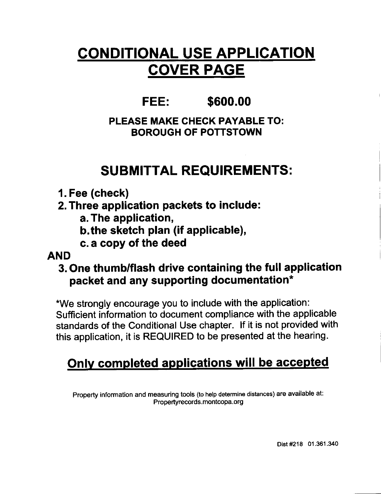# CONDITIONAL USE APPLICATION COVER PAGE

# FEE: \$600.00

### PLEASE MAKE CHECK PAYABLE TO: BOROUGH OF POTTSTOWN

# SUBMITTAL REQUIREMENTS:

- 1. Fee (check)
- 2. Three application packets to include:
	- a. The application,
	- b.the sketch plan (if applicable),
	- c. a copy of the deed

### AND

### 3. One thumb/flash drive containing the full application packet and any supporting documentation\*

\*We strongly encourage you to include with the application: Sufficient information to document compliance with the applicable standards of the Conditional Use chapter. lf it is not provided with this application, it is REQUIRED to be presented at the hearing.

# Only completed applications will be accepted

Property information and measuring tools (to help determine distances) are available at:<br>Propertyrecords.montcopa.org

Dist #218 01.361.340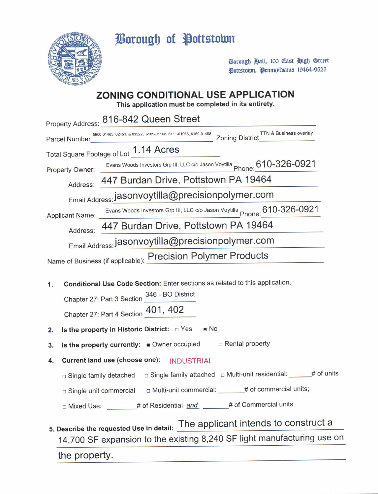Borough of Pottstown



Borough Hall, 100 Cast High Street Dottstown, Dennsplvania 19464-9525

### **ZONING CONDITIONAL USE APPLICATION**

This application must be completed in its entirety.

|                                                                                               | Property Address: 816-842 Queen Street                                                                   |  |
|-----------------------------------------------------------------------------------------------|----------------------------------------------------------------------------------------------------------|--|
| <b>Parcel Number</b>                                                                          | Zoning District TTN & Business overlay<br>5900-01465, 02451, & 01522, 6109-01108, 6111-01066, 6160-01498 |  |
|                                                                                               | Total Square Footage of Lot 1.14 Acres                                                                   |  |
| Property Owner:                                                                               | Evans Woods Investors Grp III, LLC c/o Jason Voytilla Phone: 610-326-0921                                |  |
| Address: 447 Burdan Drive, Pottstown PA 19464                                                 |                                                                                                          |  |
| Email Address: jasonvoytilla@precisionpolymer.com                                             |                                                                                                          |  |
| Applicant Name:                                                                               | Evans Woods Investors Grp III, LLC c/o Jason Voytilla Phone: 610-326-0921                                |  |
| Address: 447 Burdan Drive, Pottstown PA 19464                                                 |                                                                                                          |  |
| Email Address: jasonvoytilla@precisionpolymer.com                                             |                                                                                                          |  |
| Name of Business (if applicable): Precision Polymer Products                                  |                                                                                                          |  |
|                                                                                               |                                                                                                          |  |
| Conditional Use Code Section: Enter sections as related to this application.<br>$\mathbf 1$ . |                                                                                                          |  |
| Chapter 27; Part 3 Section 346 - BO District                                                  |                                                                                                          |  |
|                                                                                               | Chapter 27: Part 4 Section 401, 402                                                                      |  |
| $\blacksquare$ No                                                                             |                                                                                                          |  |
| Is the property in Historic District: DYes<br>2.                                              |                                                                                                          |  |
| 3.                                                                                            | $\Box$ Rental property<br>Is the property currently: Owner occupied                                      |  |

- 4. Current land use (choose one): INDUSTRIAL
	- □ Single family detached □ Single family attached □ Multi-unit residential: \_\_\_\_\_# of units
	- □ Single unit commercial □ Multi-unit commercial: \_\_\_\_\_\_# of commercial units;
	- □ Mixed Use: \_\_\_\_\_\_\_\_ # of Residential and \_\_\_\_\_\_\_ # of Commercial units
- 5. Describe the requested Use in detail: The applicant intends to construct a 14,700 SF expansion to the existing 8,240 SF light manufacturing use on

the property.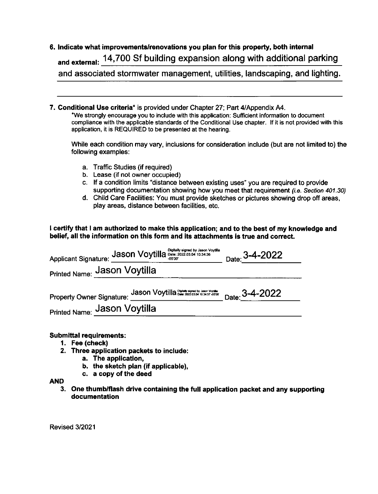### 6, lndicate what improvements/renovations you plan for this property, both internal and external: 14,700 Sf building expansion along with additional parking

and associated stormwater management, utilities, landscaping, and lighting.

## 7. Conditional Use criteria\* is provided under Chapter 27; Part 4/Appendix A4.<br>\*We strongly encourage you to include with this application: Sufficient information to document

compliance with the applicable standards of the Conditional Use chapter. lf it is not provided with this application, it is REQUIRED to be presented at the hearing.

While each condition may vary, inclusions for consideration include (but are not limited to) the following examples:

- a. Traffic Studies (if required)
- b. Lease (if not owner occupied)
- c. lf a condition limits 'distance between existing uses" you are required to provide supporting documentation showing how you meet that requirement (i.e. Section 401.30)
- d. Child Care Facilities: You must provide sketches or pictures showing drop off areas, play areas, distance between facilities, etc.

I certify that I am authorized to make this application; and to the best of my knowledge and belief, all the information on this form and its attachments is true and correct.

| Applicant Signature: Jason Voytilla Digitally signed by Jason Voytilla   | Date: $3-4-2022$ |
|--------------------------------------------------------------------------|------------------|
| Printed Name: Jason Voytilla                                             |                  |
| Property Owner Signature: Jason Voytilla 2000 103457 0500 Date: 3-4-2022 |                  |
| Printed Name: Jason Voytilla                                             |                  |

#### Submittal requirements:

- 1. Fee (check)
- 2. Three application packets to include:
	- a. The application,
	- b. the sketch plan (if applicable),
	- c. a copy of the deed

#### AND

3. One thumb/flash drive containing the full application packet and any supporting documentation

Revised 3/2021